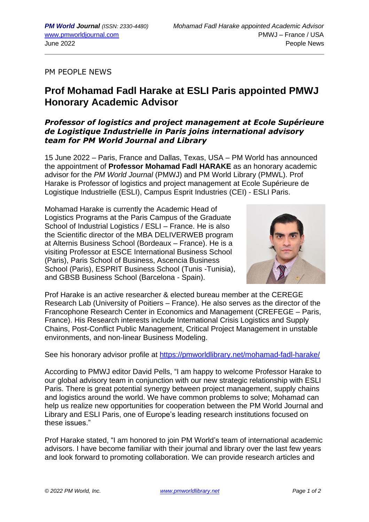PM PEOPLE NEWS

## **Prof Mohamad Fadl Harake at ESLI Paris appointed PMWJ Honorary Academic Advisor**

## *Professor of logistics and project management at Ecole Supérieure de Logistique Industrielle in Paris joins international advisory team for PM World Journal and Library*

15 June 2022 – Paris, France and Dallas, Texas, USA – PM World has announced the appointment of **Professor Mohamad Fadl HARAKE** as an honorary academic advisor for the *PM World Journal* (PMWJ) and PM World Library (PMWL). Prof Harake is Professor of logistics and project management at Ecole Supérieure de Logistique Industrielle (ESLI), Campus Esprit Industries (CEI) - ESLI Paris.

Mohamad Harake is currently the Academic Head of Logistics Programs at the Paris Campus of the Graduate School of Industrial Logistics / ESLI – France. He is also the Scientific director of the MBA DELIVERWEB program at Alternis Business School (Bordeaux – France). He is a visiting Professor at ESCE International Business School (Paris), Paris School of Business, Ascencia Business School (Paris), ESPRIT Business School (Tunis -Tunisia), and GBSB Business School (Barcelona - Spain).



Prof Harake is an active researcher & elected bureau member at the CEREGE Research Lab (University of Poitiers – France). He also serves as the director of the Francophone Research Center in Economics and Management (CREFEGE – Paris, France). His Research interests include International Crisis Logistics and Supply Chains, Post-Conflict Public Management, Critical Project Management in unstable environments, and non-linear Business Modeling.

See his honorary advisor profile at <https://pmworldlibrary.net/mohamad-fadl-harake/>

According to PMWJ editor David Pells, "I am happy to welcome Professor Harake to our global advisory team in conjunction with our new strategic relationship with ESLI Paris. There is great potential synergy between project management, supply chains and logistics around the world. We have common problems to solve; Mohamad can help us realize new opportunities for cooperation between the PM World Journal and Library and ESLI Paris, one of Europe's leading research institutions focused on these issues."

Prof Harake stated, "I am honored to join PM World's team of international academic advisors. I have become familiar with their journal and library over the last few years and look forward to promoting collaboration. We can provide research articles and